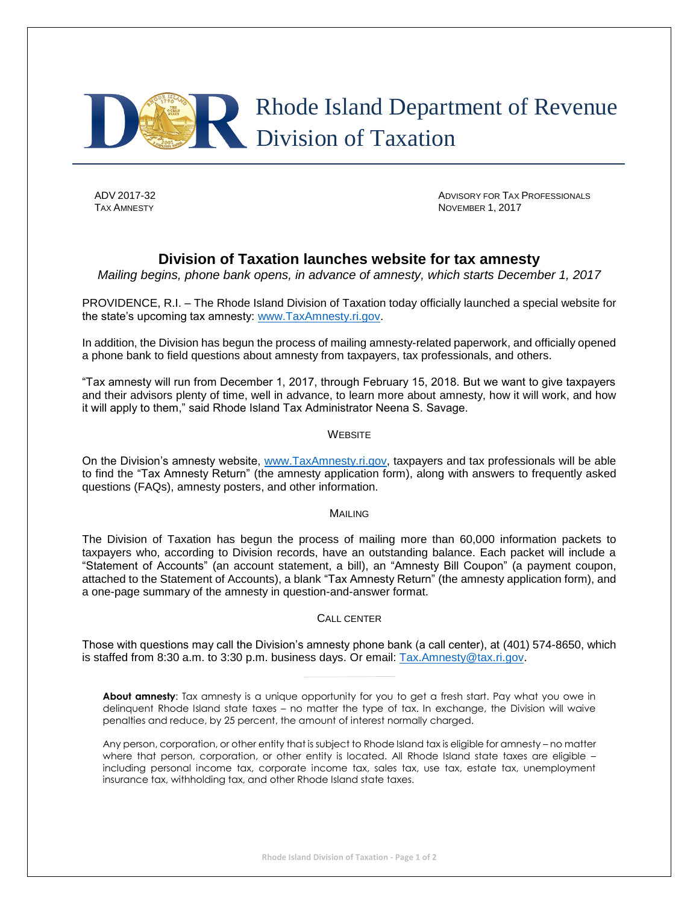

ADV 2017-32 **ADVISORY FOR TAX PROFESSIONALS TAX AMNESTY** NOVEMBER 1, 2017

## **Division of Taxation launches website for tax amnesty**

*Mailing begins, phone bank opens, in advance of amnesty, which starts December 1, 2017*

PROVIDENCE, R.I. – The Rhode Island Division of Taxation today officially launched a special website for the state's upcoming tax amnesty: [www.TaxAmnesty.ri.gov.](http://www.taxamnesty.ri.gov/)

In addition, the Division has begun the process of mailing amnesty-related paperwork, and officially opened a phone bank to field questions about amnesty from taxpayers, tax professionals, and others.

"Tax amnesty will run from December 1, 2017, through February 15, 2018. But we want to give taxpayers and their advisors plenty of time, well in advance, to learn more about amnesty, how it will work, and how it will apply to them," said Rhode Island Tax Administrator Neena S. Savage.

## **WEBSITE**

On the Division's amnesty website, [www.TaxAmnesty.ri.gov,](http://www.taxamnesty.ri.gov/) taxpayers and tax professionals will be able to find the "Tax Amnesty Return" (the amnesty application form), along with answers to frequently asked questions (FAQs), amnesty posters, and other information.

MAILING

The Division of Taxation has begun the process of mailing more than 60,000 information packets to taxpayers who, according to Division records, have an outstanding balance. Each packet will include a "Statement of Accounts" (an account statement, a bill), an "Amnesty Bill Coupon" (a payment coupon, attached to the Statement of Accounts), a blank "Tax Amnesty Return" (the amnesty application form), and a one-page summary of the amnesty in question-and-answer format.

## CALL CENTER

Those with questions may call the Division's amnesty phone bank (a call center), at (401) 574-8650, which is staffed from 8:30 a.m. to 3:30 p.m. business days. Or email: [Tax.Amnesty@tax.ri.gov.](mailto:Tax.Amnesty@tax.ri.gov)

**About amnesty**: Tax amnesty is a unique opportunity for you to get a fresh start. Pay what you owe in delinquent Rhode Island state taxes – no matter the type of tax. In exchange, the Division will waive penalties and reduce, by 25 percent, the amount of interest normally charged.

Any person, corporation, or other entity that is subject to Rhode Island tax is eligible for amnesty – no matter where that person, corporation, or other entity is located. All Rhode Island state taxes are eligible – including personal income tax, corporate income tax, sales tax, use tax, estate tax, unemployment insurance tax, withholding tax, and other Rhode Island state taxes.